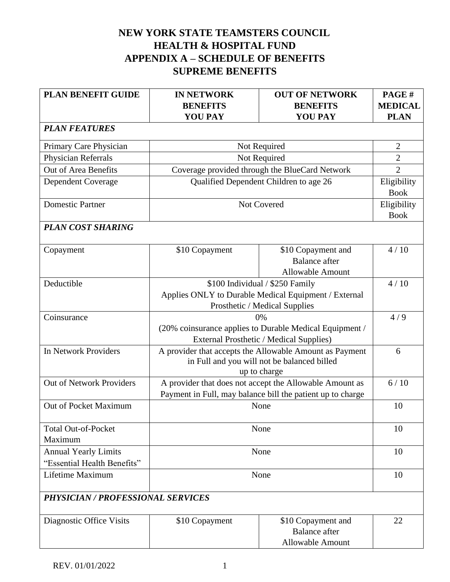## **NEW YORK STATE TEAMSTERS COUNCIL HEALTH & HOSPITAL FUND APPENDIX A – SCHEDULE OF BENEFITS SUPREME BENEFITS**

| <b>PLAN BENEFIT GUIDE</b>                | <b>IN NETWORK</b><br><b>BENEFITS</b>                                                                   | <b>OUT OF NETWORK</b><br><b>BENEFITS</b>                   | PAGE#<br><b>MEDICAL</b>    |
|------------------------------------------|--------------------------------------------------------------------------------------------------------|------------------------------------------------------------|----------------------------|
|                                          | <b>YOU PAY</b>                                                                                         | <b>YOU PAY</b>                                             | <b>PLAN</b>                |
| <b>PLAN FEATURES</b>                     |                                                                                                        |                                                            |                            |
| Primary Care Physician                   |                                                                                                        | Not Required                                               | $\overline{2}$             |
| Physician Referrals                      |                                                                                                        | Not Required                                               | $\overline{2}$             |
| Out of Area Benefits                     |                                                                                                        | Coverage provided through the BlueCard Network             | $\overline{2}$             |
| <b>Dependent Coverage</b>                |                                                                                                        | Qualified Dependent Children to age 26                     | Eligibility<br><b>Book</b> |
| <b>Domestic Partner</b>                  |                                                                                                        | Not Covered                                                | Eligibility<br><b>Book</b> |
| <b>PLAN COST SHARING</b>                 |                                                                                                        |                                                            |                            |
|                                          |                                                                                                        |                                                            |                            |
| Copayment                                | \$10 Copayment                                                                                         | \$10 Copayment and                                         | 4/10                       |
|                                          |                                                                                                        | <b>Balance</b> after                                       |                            |
|                                          |                                                                                                        | <b>Allowable Amount</b>                                    |                            |
| Deductible                               |                                                                                                        | \$100 Individual / \$250 Family                            | 4/10                       |
|                                          |                                                                                                        | Applies ONLY to Durable Medical Equipment / External       |                            |
|                                          | Prosthetic / Medical Supplies                                                                          |                                                            |                            |
| Coinsurance                              | 0%                                                                                                     |                                                            | 4/9                        |
|                                          | (20% coinsurance applies to Durable Medical Equipment /                                                |                                                            |                            |
| In Network Providers                     | External Prosthetic / Medical Supplies)                                                                |                                                            | 6                          |
|                                          | A provider that accepts the Allowable Amount as Payment<br>in Full and you will not be balanced billed |                                                            |                            |
|                                          |                                                                                                        | up to charge                                               |                            |
| <b>Out of Network Providers</b>          |                                                                                                        | A provider that does not accept the Allowable Amount as    | 6/10                       |
|                                          |                                                                                                        | Payment in Full, may balance bill the patient up to charge |                            |
| Out of Pocket Maximum                    | None                                                                                                   |                                                            | 10                         |
| <b>Total Out-of-Pocket</b>               | None                                                                                                   |                                                            | 10                         |
| Maximum                                  |                                                                                                        |                                                            |                            |
| <b>Annual Yearly Limits</b>              | None                                                                                                   |                                                            | 10                         |
| "Essential Health Benefits"              |                                                                                                        |                                                            |                            |
| Lifetime Maximum                         | None                                                                                                   |                                                            | 10                         |
| <b>PHYSICIAN / PROFESSIONAL SERVICES</b> |                                                                                                        |                                                            |                            |
|                                          |                                                                                                        |                                                            | 22                         |
| Diagnostic Office Visits                 | \$10 Copayment                                                                                         | \$10 Copayment and<br><b>Balance</b> after                 |                            |
|                                          |                                                                                                        | <b>Allowable Amount</b>                                    |                            |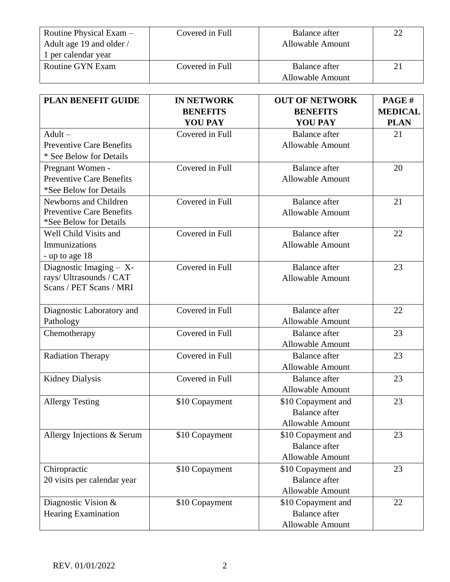| Routine Physical Exam $-$<br>Adult age 19 and older /<br>1 per calendar year | Covered in Full | Balance after<br><b>Allowable Amount</b> | 22 |
|------------------------------------------------------------------------------|-----------------|------------------------------------------|----|
| Routine GYN Exam                                                             | Covered in Full | Balance after<br><b>Allowable Amount</b> | 21 |

| <b>PLAN BENEFIT GUIDE</b>                                                          | <b>IN NETWORK</b><br><b>BENEFITS</b><br><b>YOU PAY</b> | <b>OUT OF NETWORK</b><br><b>BENEFITS</b><br><b>YOU PAY</b>            | PAGE#<br><b>MEDICAL</b><br><b>PLAN</b> |
|------------------------------------------------------------------------------------|--------------------------------------------------------|-----------------------------------------------------------------------|----------------------------------------|
| $Adult -$<br><b>Preventive Care Benefits</b><br>* See Below for Details            | Covered in Full                                        | <b>Balance</b> after<br><b>Allowable Amount</b>                       | 21                                     |
| Pregnant Women -<br><b>Preventive Care Benefits</b><br>*See Below for Details      | Covered in Full                                        | <b>Balance</b> after<br><b>Allowable Amount</b>                       | 20                                     |
| Newborns and Children<br><b>Preventive Care Benefits</b><br>*See Below for Details | Covered in Full                                        | <b>Balance</b> after<br><b>Allowable Amount</b>                       | 21                                     |
| Well Child Visits and<br>Immunizations<br>- up to age 18                           | Covered in Full                                        | <b>Balance</b> after<br><b>Allowable Amount</b>                       | 22                                     |
| Diagnostic Imaging - X-<br>rays/ Ultrasounds / CAT<br>Scans / PET Scans / MRI      | Covered in Full                                        | <b>Balance</b> after<br><b>Allowable Amount</b>                       | 23                                     |
| Diagnostic Laboratory and<br>Pathology                                             | Covered in Full                                        | <b>Balance</b> after<br><b>Allowable Amount</b>                       | 22                                     |
| Chemotherapy                                                                       | Covered in Full                                        | <b>Balance</b> after<br><b>Allowable Amount</b>                       | 23                                     |
| <b>Radiation Therapy</b>                                                           | Covered in Full                                        | <b>Balance</b> after<br><b>Allowable Amount</b>                       | 23                                     |
| <b>Kidney Dialysis</b>                                                             | Covered in Full                                        | <b>Balance</b> after<br><b>Allowable Amount</b>                       | 23                                     |
| <b>Allergy Testing</b>                                                             | \$10 Copayment                                         | \$10 Copayment and<br><b>Balance</b> after<br><b>Allowable Amount</b> | 23                                     |
| Allergy Injections & Serum                                                         | \$10 Copayment                                         | \$10 Copayment and<br><b>Balance</b> after<br><b>Allowable Amount</b> | 23                                     |
| Chiropractic<br>20 visits per calendar year                                        | \$10 Copayment                                         | \$10 Copayment and<br><b>Balance</b> after<br>Allowable Amount        | 23                                     |
| Diagnostic Vision $&$<br><b>Hearing Examination</b>                                | \$10 Copayment                                         | \$10 Copayment and<br><b>Balance</b> after<br>Allowable Amount        | 22                                     |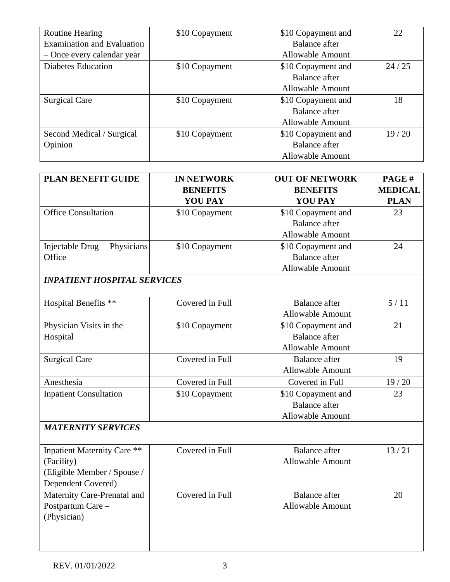| <b>Routine Hearing</b>            | \$10 Copayment | \$10 Copayment and      | 22    |
|-----------------------------------|----------------|-------------------------|-------|
| <b>Examination and Evaluation</b> |                | Balance after           |       |
| - Once every calendar year        |                | <b>Allowable Amount</b> |       |
| <b>Diabetes Education</b>         | \$10 Copayment | \$10 Copayment and      | 24/25 |
|                                   |                | <b>Balance after</b>    |       |
|                                   |                | <b>Allowable Amount</b> |       |
| <b>Surgical Care</b>              | \$10 Copayment | \$10 Copayment and      | 18    |
|                                   |                | <b>Balance after</b>    |       |
|                                   |                | <b>Allowable Amount</b> |       |
| Second Medical / Surgical         | \$10 Copayment | \$10 Copayment and      | 19/20 |
| Opinion                           |                | <b>Balance</b> after    |       |
|                                   |                | <b>Allowable Amount</b> |       |

| PLAN BENEFIT GUIDE                                                                                    | <b>IN NETWORK</b><br><b>BENEFITS</b><br><b>YOU PAY</b> | <b>OUT OF NETWORK</b><br><b>BENEFITS</b><br><b>YOU PAY</b>            | PAGE#<br><b>MEDICAL</b><br><b>PLAN</b> |
|-------------------------------------------------------------------------------------------------------|--------------------------------------------------------|-----------------------------------------------------------------------|----------------------------------------|
| <b>Office Consultation</b>                                                                            | \$10 Copayment                                         | \$10 Copayment and<br><b>Balance</b> after<br><b>Allowable Amount</b> | 23                                     |
| Injectable Drug - Physicians<br>Office                                                                | \$10 Copayment                                         | \$10 Copayment and<br><b>Balance</b> after<br><b>Allowable Amount</b> | 24                                     |
| <b>INPATIENT HOSPITAL SERVICES</b>                                                                    |                                                        |                                                                       |                                        |
| Hospital Benefits **                                                                                  | Covered in Full                                        | <b>Balance</b> after<br><b>Allowable Amount</b>                       | 5/11                                   |
| Physician Visits in the<br>Hospital                                                                   | \$10 Copayment                                         | \$10 Copayment and<br><b>Balance</b> after<br>Allowable Amount        | 21                                     |
| <b>Surgical Care</b>                                                                                  | Covered in Full                                        | <b>Balance</b> after<br><b>Allowable Amount</b>                       | 19                                     |
| Anesthesia                                                                                            | Covered in Full                                        | Covered in Full                                                       | 19/20                                  |
| <b>Inpatient Consultation</b>                                                                         | \$10 Copayment                                         | \$10 Copayment and<br><b>Balance</b> after<br><b>Allowable Amount</b> | 23                                     |
| <b>MATERNITY SERVICES</b>                                                                             |                                                        |                                                                       |                                        |
| <b>Inpatient Maternity Care **</b><br>(Facility)<br>(Eligible Member / Spouse /<br>Dependent Covered) | Covered in Full                                        | <b>Balance</b> after<br><b>Allowable Amount</b>                       | 13/21                                  |
| Maternity Care-Prenatal and<br>Postpartum Care-<br>(Physician)                                        | Covered in Full                                        | <b>Balance</b> after<br><b>Allowable Amount</b>                       | 20                                     |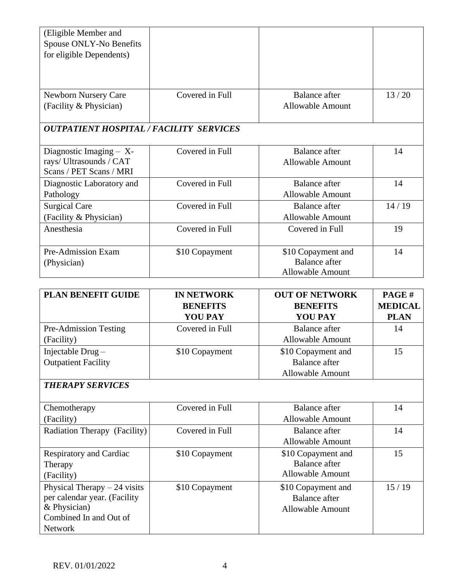| (Eligible Member and                           |                 |                         |       |
|------------------------------------------------|-----------------|-------------------------|-------|
| Spouse ONLY-No Benefits                        |                 |                         |       |
| for eligible Dependents)                       |                 |                         |       |
|                                                |                 |                         |       |
|                                                |                 |                         |       |
| <b>Newborn Nursery Care</b>                    | Covered in Full | <b>Balance</b> after    | 13/20 |
| (Facility & Physician)                         |                 | <b>Allowable Amount</b> |       |
|                                                |                 |                         |       |
| <b>OUTPATIENT HOSPITAL / FACILITY SERVICES</b> |                 |                         |       |
|                                                |                 |                         |       |
| Diagnostic Imaging $- X$ -                     | Covered in Full | <b>Balance</b> after    | 14    |
| rays/Ultrasounds / CAT                         |                 | <b>Allowable Amount</b> |       |
| Scans / PET Scans / MRI                        |                 |                         |       |
| Diagnostic Laboratory and                      | Covered in Full | <b>Balance</b> after    | 14    |
| Pathology                                      |                 | <b>Allowable Amount</b> |       |
| <b>Surgical Care</b>                           | Covered in Full | <b>Balance after</b>    | 14/19 |
| (Facility & Physician)                         |                 | <b>Allowable Amount</b> |       |
| Anesthesia                                     | Covered in Full | Covered in Full         | 19    |
|                                                |                 |                         |       |
| Pre-Admission Exam                             | \$10 Copayment  | \$10 Copayment and      | 14    |
| (Physician)                                    |                 | <b>Balance</b> after    |       |
|                                                |                 | <b>Allowable Amount</b> |       |

| <b>PLAN BENEFIT GUIDE</b>           | <b>IN NETWORK</b> | <b>OUT OF NETWORK</b>   | PAGE#          |
|-------------------------------------|-------------------|-------------------------|----------------|
|                                     | <b>BENEFITS</b>   | <b>BENEFITS</b>         | <b>MEDICAL</b> |
|                                     | <b>YOU PAY</b>    | <b>YOU PAY</b>          | <b>PLAN</b>    |
| <b>Pre-Admission Testing</b>        | Covered in Full   | <b>Balance</b> after    | 14             |
| (Facility)                          |                   | <b>Allowable Amount</b> |                |
| Injectable Drug -                   | \$10 Copayment    | \$10 Copayment and      | 15             |
| <b>Outpatient Facility</b>          |                   | <b>Balance after</b>    |                |
|                                     |                   | <b>Allowable Amount</b> |                |
| <b>THERAPY SERVICES</b>             |                   |                         |                |
|                                     |                   |                         |                |
| Chemotherapy                        | Covered in Full   | <b>Balance after</b>    | 14             |
| (Facility)                          |                   | <b>Allowable Amount</b> |                |
| <b>Radiation Therapy (Facility)</b> | Covered in Full   | Balance after           | 14             |
|                                     |                   | <b>Allowable Amount</b> |                |
| <b>Respiratory and Cardiac</b>      | \$10 Copayment    | \$10 Copayment and      | 15             |
| Therapy                             |                   | <b>Balance</b> after    |                |
| (Facility)                          |                   | <b>Allowable Amount</b> |                |
| Physical Therapy $-24$ visits       | \$10 Copayment    | \$10 Copayment and      | 15/19          |
| per calendar year. (Facility        |                   | <b>Balance</b> after    |                |
| & Physician)                        |                   | <b>Allowable Amount</b> |                |
| Combined In and Out of              |                   |                         |                |
| <b>Network</b>                      |                   |                         |                |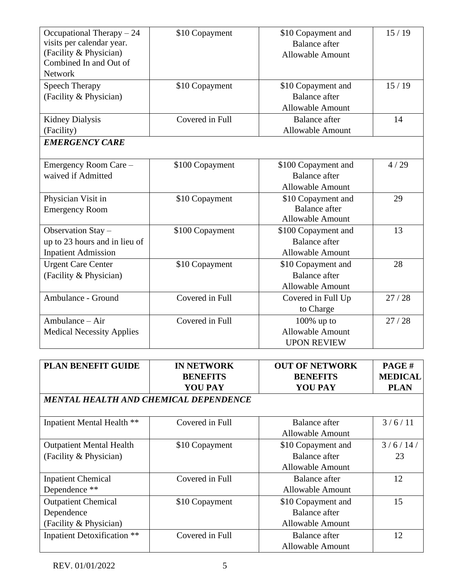| Occupational Therapy $-24$<br>visits per calendar year.<br>(Facility & Physician)<br>Combined In and Out of<br><b>Network</b> | \$10 Copayment  | \$10 Copayment and<br><b>Balance</b> after<br><b>Allowable Amount</b>  | 15/19 |
|-------------------------------------------------------------------------------------------------------------------------------|-----------------|------------------------------------------------------------------------|-------|
| <b>Speech Therapy</b><br>(Facility & Physician)                                                                               | \$10 Copayment  | \$10 Copayment and<br><b>Balance</b> after<br><b>Allowable Amount</b>  | 15/19 |
| <b>Kidney Dialysis</b><br>(Facility)                                                                                          | Covered in Full | <b>Balance</b> after<br><b>Allowable Amount</b>                        | 14    |
| <b>EMERGENCY CARE</b>                                                                                                         |                 |                                                                        |       |
| Emergency Room Care -<br>waived if Admitted                                                                                   | \$100 Copayment | \$100 Copayment and<br><b>Balance</b> after<br><b>Allowable Amount</b> | 4/29  |
| Physician Visit in<br><b>Emergency Room</b>                                                                                   | \$10 Copayment  | \$10 Copayment and<br><b>Balance</b> after<br><b>Allowable Amount</b>  | 29    |
| Observation Stay -<br>up to 23 hours and in lieu of<br><b>Inpatient Admission</b>                                             | \$100 Copayment | \$100 Copayment and<br><b>Balance</b> after<br><b>Allowable Amount</b> | 13    |
| <b>Urgent Care Center</b><br>(Facility & Physician)                                                                           | \$10 Copayment  | \$10 Copayment and<br><b>Balance</b> after<br><b>Allowable Amount</b>  | 28    |
| Ambulance - Ground                                                                                                            | Covered in Full | Covered in Full Up<br>to Charge                                        | 27/28 |
| Ambulance – Air<br><b>Medical Necessity Applies</b>                                                                           | Covered in Full | $100\%$ up to<br><b>Allowable Amount</b><br><b>UPON REVIEW</b>         | 27/28 |

| PLAN BENEFIT GUIDE                    | <b>IN NETWORK</b> | <b>OUT OF NETWORK</b>   | PAGE#          |
|---------------------------------------|-------------------|-------------------------|----------------|
|                                       | <b>BENEFITS</b>   | <b>BENEFITS</b>         | <b>MEDICAL</b> |
|                                       | <b>YOU PAY</b>    | <b>YOU PAY</b>          | <b>PLAN</b>    |
| MENTAL HEALTH AND CHEMICAL DEPENDENCE |                   |                         |                |
|                                       |                   |                         |                |
| Inpatient Mental Health **            | Covered in Full   | <b>Balance after</b>    | 3/6/11         |
|                                       |                   | <b>Allowable Amount</b> |                |
| <b>Outpatient Mental Health</b>       | \$10 Copayment    | \$10 Copayment and      | 3/6/14/        |
| (Facility & Physician)                |                   | Balance after           | 23             |
|                                       |                   | <b>Allowable Amount</b> |                |
| <b>Inpatient Chemical</b>             | Covered in Full   | <b>Balance</b> after    | 12             |
| Dependence **                         |                   | <b>Allowable Amount</b> |                |
| <b>Outpatient Chemical</b>            | \$10 Copayment    | \$10 Copayment and      | 15             |
| Dependence                            |                   | <b>Balance after</b>    |                |
| (Facility & Physician)                |                   | <b>Allowable Amount</b> |                |
| <b>Inpatient Detoxification</b> **    | Covered in Full   | <b>Balance</b> after    | 12             |
|                                       |                   | <b>Allowable Amount</b> |                |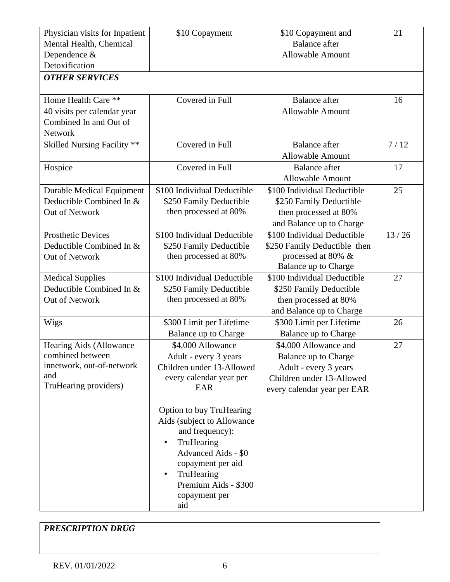| Physician visits for Inpatient   | \$10 Copayment              | \$10 Copayment and           | 21    |
|----------------------------------|-----------------------------|------------------------------|-------|
| Mental Health, Chemical          |                             | <b>Balance</b> after         |       |
| Dependence &                     |                             | <b>Allowable Amount</b>      |       |
| Detoxification                   |                             |                              |       |
| <b>OTHER SERVICES</b>            |                             |                              |       |
| Home Health Care **              | Covered in Full             | <b>Balance</b> after         | 16    |
| 40 visits per calendar year      |                             | <b>Allowable Amount</b>      |       |
| Combined In and Out of           |                             |                              |       |
| <b>Network</b>                   |                             |                              |       |
| Skilled Nursing Facility **      | Covered in Full             | <b>Balance</b> after         | 7/12  |
|                                  |                             | <b>Allowable Amount</b>      |       |
| Hospice                          | Covered in Full             | <b>Balance</b> after         | 17    |
|                                  |                             | <b>Allowable Amount</b>      |       |
| <b>Durable Medical Equipment</b> | \$100 Individual Deductible | \$100 Individual Deductible  | 25    |
| Deductible Combined In &         | \$250 Family Deductible     | \$250 Family Deductible      |       |
| Out of Network                   | then processed at 80%       | then processed at 80%        |       |
|                                  |                             | and Balance up to Charge     |       |
| <b>Prosthetic Devices</b>        | \$100 Individual Deductible | \$100 Individual Deductible  | 13/26 |
| Deductible Combined In &         | \$250 Family Deductible     | \$250 Family Deductible then |       |
| Out of Network                   | then processed at 80%       | processed at 80% &           |       |
|                                  |                             | Balance up to Charge         |       |
| <b>Medical Supplies</b>          | \$100 Individual Deductible | \$100 Individual Deductible  | 27    |
| Deductible Combined In &         | \$250 Family Deductible     | \$250 Family Deductible      |       |
| Out of Network                   | then processed at 80%       | then processed at 80%        |       |
|                                  |                             | and Balance up to Charge     |       |
| Wigs                             | \$300 Limit per Lifetime    | \$300 Limit per Lifetime     | 26    |
|                                  | Balance up to Charge        | Balance up to Charge         |       |
| Hearing Aids (Allowance          | \$4,000 Allowance           | \$4,000 Allowance and        | 27    |
| combined between                 | Adult - every 3 years       | Balance up to Charge         |       |
| innetwork, out-of-network        | Children under 13-Allowed   | Adult - every 3 years        |       |
| and                              | every calendar year per     | Children under 13-Allowed    |       |
| TruHearing providers)            | EAR                         | every calendar year per EAR  |       |
|                                  | Option to buy TruHearing    |                              |       |
|                                  | Aids (subject to Allowance  |                              |       |
|                                  | and frequency):             |                              |       |
|                                  | TruHearing<br>$\bullet$     |                              |       |
|                                  | Advanced Aids - \$0         |                              |       |
|                                  | copayment per aid           |                              |       |
|                                  | TruHearing<br>$\bullet$     |                              |       |
|                                  | Premium Aids - \$300        |                              |       |
|                                  | copayment per               |                              |       |
|                                  | aid                         |                              |       |

*PRESCRIPTION DRUG*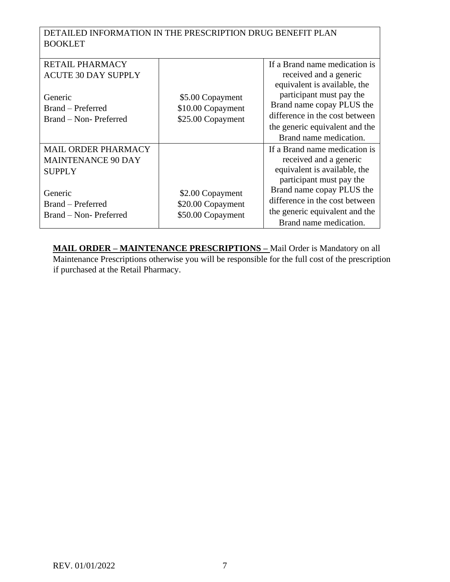DETAILED INFORMATION IN THE PRESCRIPTION DRUG BENEFIT PLAN BOOKLET

| <b>RETAIL PHARMACY</b>     |                   | If a Brand name medication is  |
|----------------------------|-------------------|--------------------------------|
| <b>ACUTE 30 DAY SUPPLY</b> |                   | received and a generic         |
|                            |                   | equivalent is available, the   |
| Generic                    | \$5.00 Copayment  | participant must pay the       |
| Brand - Preferred          | \$10.00 Copayment | Brand name copay PLUS the      |
| Brand - Non-Preferred      | \$25.00 Copayment | difference in the cost between |
|                            |                   | the generic equivalent and the |
|                            |                   | Brand name medication.         |
| MAIL ORDER PHARMACY        |                   | If a Brand name medication is  |
| <b>MAINTENANCE 90 DAY</b>  |                   | received and a generic         |
| <b>SUPPLY</b>              |                   | equivalent is available, the   |
|                            |                   | participant must pay the       |
| Generic                    | \$2.00 Copayment  | Brand name copay PLUS the      |
| Brand – Preferred          | \$20.00 Copayment | difference in the cost between |
| Brand – Non-Preferred      | \$50.00 Copayment | the generic equivalent and the |
|                            |                   | Brand name medication.         |

**MAIL ORDER – MAINTENANCE PRESCRIPTIONS –** Mail Order is Mandatory on all Maintenance Prescriptions otherwise you will be responsible for the full cost of the prescription if purchased at the Retail Pharmacy.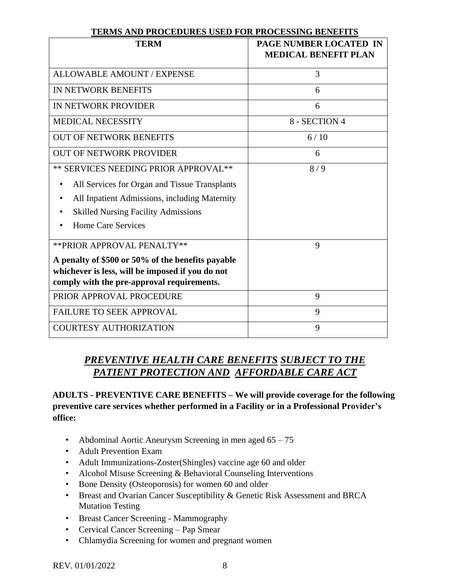| LEAMS ARD I ROCEDURES USED FOR I ROCESSING DENEFITS                                                                                                 |                                                              |
|-----------------------------------------------------------------------------------------------------------------------------------------------------|--------------------------------------------------------------|
| <b>TERM</b>                                                                                                                                         | <b>PAGE NUMBER LOCATED IN</b><br><b>MEDICAL BENEFIT PLAN</b> |
| <b>ALLOWABLE AMOUNT / EXPENSE</b>                                                                                                                   | 3                                                            |
| IN NETWORK BENEFITS                                                                                                                                 | 6                                                            |
| IN NETWORK PROVIDER                                                                                                                                 | 6                                                            |
| <b>MEDICAL NECESSITY</b>                                                                                                                            | 8 - SECTION 4                                                |
| <b>OUT OF NETWORK BENEFITS</b>                                                                                                                      | 6/10                                                         |
| <b>OUT OF NETWORK PROVIDER</b>                                                                                                                      | 6                                                            |
| ** SERVICES NEEDING PRIOR APPROVAL**                                                                                                                | 8/9                                                          |
| All Services for Organ and Tissue Transplants                                                                                                       |                                                              |
| All Inpatient Admissions, including Maternity                                                                                                       |                                                              |
| <b>Skilled Nursing Facility Admissions</b>                                                                                                          |                                                              |
| Home Care Services                                                                                                                                  |                                                              |
| ** PRIOR APPROVAL PENALTY**                                                                                                                         | 9                                                            |
| A penalty of \$500 or 50% of the benefits payable<br>whichever is less, will be imposed if you do not<br>comply with the pre-approval requirements. |                                                              |
| PRIOR APPROVAL PROCEDURE                                                                                                                            | 9                                                            |
| <b>FAILURE TO SEEK APPROVAL</b>                                                                                                                     | 9                                                            |
| <b>COURTESY AUTHORIZATION</b>                                                                                                                       | 9                                                            |

#### **TERMS AND PROCEDURES USED FOR PROCESSING BENEFITS**

### *PREVENTIVE HEALTH CARE BENEFITS SUBJECT TO THE PATIENT PROTECTION AND AFFORDABLE CARE ACT*

**ADULTS - PREVENTIVE CARE BENEFITS – We will provide coverage for the following preventive care services whether performed in a Facility or in a Professional Provider's office:** 

- Abdominal Aortic Aneurysm Screening in men aged 65 75
- Adult Prevention Exam
- Adult Immunizations-Zoster(Shingles) vaccine age 60 and older
- Alcohol Misuse Screening & Behavioral Counseling Interventions
- Bone Density (Osteoporosis) for women 60 and older
- Breast and Ovarian Cancer Susceptibility & Genetic Risk Assessment and BRCA Mutation Testing
- Breast Cancer Screening Mammography
- Cervical Cancer Screening Pap Smear
- Chlamydia Screening for women and pregnant women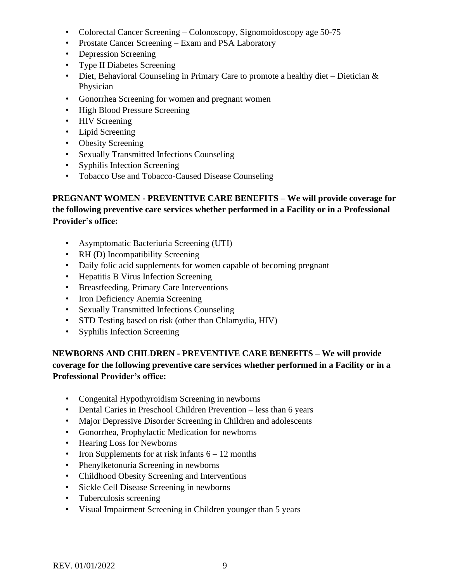- Colorectal Cancer Screening Colonoscopy, Signomoidoscopy age 50-75
- Prostate Cancer Screening Exam and PSA Laboratory
- Depression Screening
- Type II Diabetes Screening
- Diet, Behavioral Counseling in Primary Care to promote a healthy diet Dietician  $\&$ Physician
- Gonorrhea Screening for women and pregnant women
- High Blood Pressure Screening
- HIV Screening
- Lipid Screening
- Obesity Screening
- Sexually Transmitted Infections Counseling
- Syphilis Infection Screening
- Tobacco Use and Tobacco-Caused Disease Counseling

### **PREGNANT WOMEN - PREVENTIVE CARE BENEFITS – We will provide coverage for the following preventive care services whether performed in a Facility or in a Professional Provider's office:**

- Asymptomatic Bacteriuria Screening (UTI)
- RH (D) Incompatibility Screening
- Daily folic acid supplements for women capable of becoming pregnant
- Hepatitis B Virus Infection Screening
- Breastfeeding, Primary Care Interventions
- Iron Deficiency Anemia Screening
- Sexually Transmitted Infections Counseling
- STD Testing based on risk (other than Chlamydia, HIV)
- Syphilis Infection Screening

### **NEWBORNS AND CHILDREN - PREVENTIVE CARE BENEFITS – We will provide coverage for the following preventive care services whether performed in a Facility or in a Professional Provider's office:**

- Congenital Hypothyroidism Screening in newborns
- Dental Caries in Preschool Children Prevention less than 6 years
- Major Depressive Disorder Screening in Children and adolescents
- Gonorrhea, Prophylactic Medication for newborns
- Hearing Loss for Newborns
- Iron Supplements for at risk infants  $6 12$  months
- Phenylketonuria Screening in newborns
- Childhood Obesity Screening and Interventions
- Sickle Cell Disease Screening in newborns
- Tuberculosis screening
- Visual Impairment Screening in Children younger than 5 years